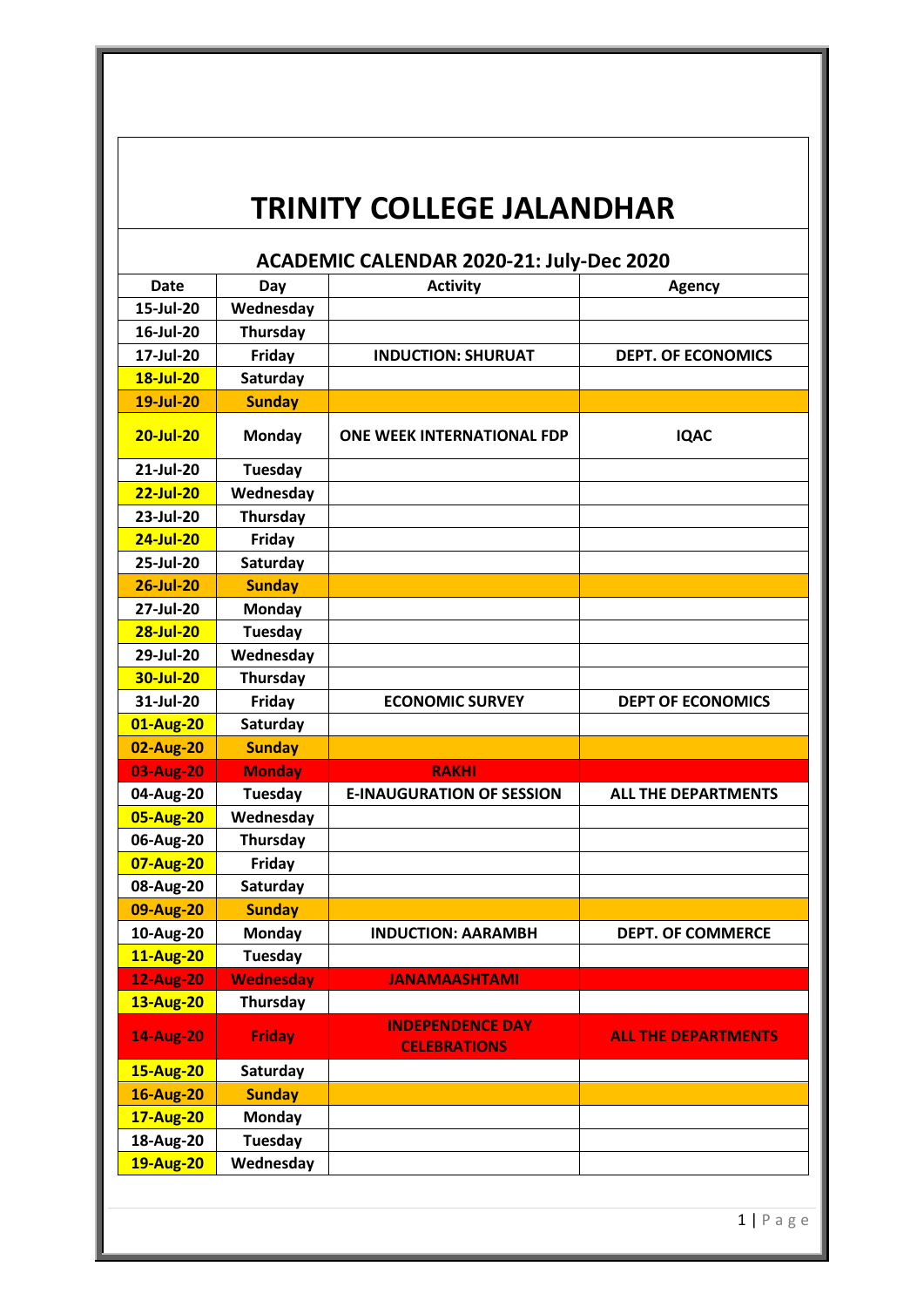## **TRINITY COLLEGE JALANDHAR**

| <b>ACADEMIC CALENDAR 2020-21: July-Dec 2020</b> |                  |                                                |                            |  |
|-------------------------------------------------|------------------|------------------------------------------------|----------------------------|--|
| Date                                            | Day              | <b>Activity</b>                                | <b>Agency</b>              |  |
| 15-Jul-20                                       | Wednesday        |                                                |                            |  |
| 16-Jul-20                                       | Thursday         |                                                |                            |  |
| 17-Jul-20                                       | Friday           | <b>INDUCTION: SHURUAT</b>                      | <b>DEPT. OF ECONOMICS</b>  |  |
| 18-Jul-20                                       | Saturday         |                                                |                            |  |
| 19-Jul-20                                       | <b>Sunday</b>    |                                                |                            |  |
| 20-Jul-20                                       | <b>Monday</b>    | <b>ONE WEEK INTERNATIONAL FDP</b>              | <b>IQAC</b>                |  |
| 21-Jul-20                                       | <b>Tuesday</b>   |                                                |                            |  |
| $22$ -Jul-20                                    | Wednesday        |                                                |                            |  |
| 23-Jul-20                                       | Thursday         |                                                |                            |  |
| $24$ -Jul-20                                    | Friday           |                                                |                            |  |
| 25-Jul-20                                       | Saturday         |                                                |                            |  |
| <b>26-Jul-20</b>                                | <b>Sunday</b>    |                                                |                            |  |
| 27-Jul-20                                       | Monday           |                                                |                            |  |
| 28-Jul-20                                       | Tuesday          |                                                |                            |  |
| 29-Jul-20                                       | Wednesday        |                                                |                            |  |
| 30-Jul-20                                       | <b>Thursday</b>  |                                                |                            |  |
| 31-Jul-20                                       | Friday           | <b>ECONOMIC SURVEY</b>                         | <b>DEPT OF ECONOMICS</b>   |  |
| 01-Aug-20                                       | Saturday         |                                                |                            |  |
| 02-Aug-20                                       | <b>Sunday</b>    |                                                |                            |  |
| 03-Aug-20                                       | <b>Monday</b>    | <b>RAKHI</b>                                   |                            |  |
| 04-Aug-20                                       | <b>Tuesday</b>   | <b>E-INAUGURATION OF SESSION</b>               | <b>ALL THE DEPARTMENTS</b> |  |
| 05-Aug-20                                       | Wednesday        |                                                |                            |  |
| 06-Aug-20                                       | <b>Thursday</b>  |                                                |                            |  |
| 07-Aug-20                                       | Friday           |                                                |                            |  |
| 08-Aug-20                                       | Saturday         |                                                |                            |  |
| 09-Aug-20                                       | <b>Sunday</b>    |                                                |                            |  |
| 10-Aug-20                                       | <b>Monday</b>    | <b>INDUCTION: AARAMBH</b>                      | <b>DEPT. OF COMMERCE</b>   |  |
| <b>11-Aug-20</b>                                | <b>Tuesday</b>   |                                                |                            |  |
| <b>12-Aug-20</b>                                | <b>Wednesday</b> | <b>JANAMAASHTAMI</b>                           |                            |  |
| <b>13-Aug-20</b>                                | Thursday         |                                                |                            |  |
| <b>14-Aug-20</b>                                | <b>Friday</b>    | <b>INDEPENDENCE DAY</b><br><b>CELEBRATIONS</b> | <b>ALL THE DEPARTMENTS</b> |  |
| <b>15-Aug-20</b>                                | Saturday         |                                                |                            |  |
| <b>16-Aug-20</b>                                | <b>Sunday</b>    |                                                |                            |  |
| <b>17-Aug-20</b>                                | <b>Monday</b>    |                                                |                            |  |
| 18-Aug-20                                       | Tuesday          |                                                |                            |  |
| <b>19-Aug-20</b>                                | Wednesday        |                                                |                            |  |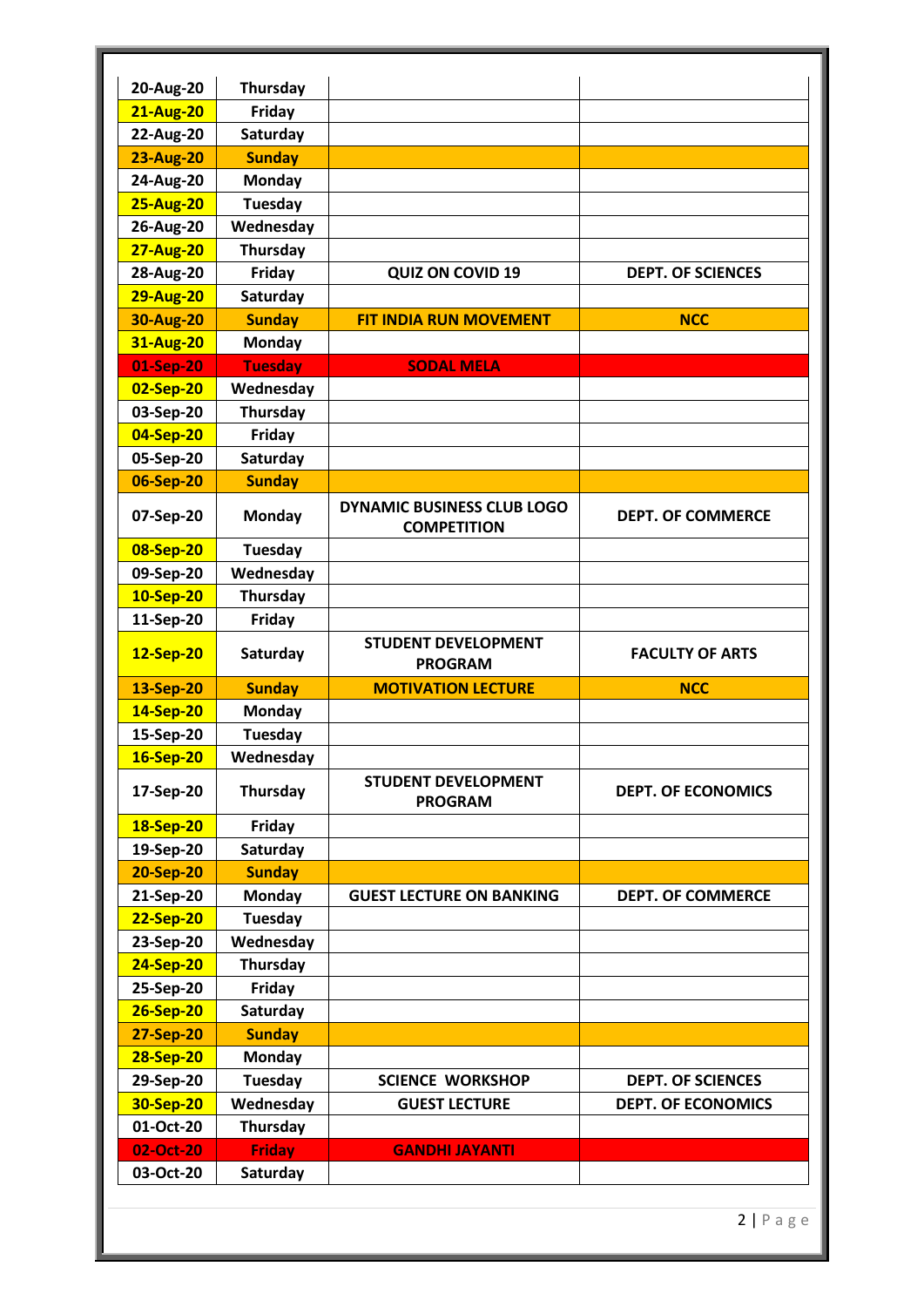| 20-Aug-20              | Thursday                  |                                                         |                           |
|------------------------|---------------------------|---------------------------------------------------------|---------------------------|
| <b>21-Aug-20</b>       | Friday                    |                                                         |                           |
| 22-Aug-20              | Saturday                  |                                                         |                           |
| <b>23-Aug-20</b>       | <b>Sunday</b>             |                                                         |                           |
| 24-Aug-20              | <b>Monday</b>             |                                                         |                           |
| <b>25-Aug-20</b>       | <b>Tuesday</b>            |                                                         |                           |
| 26-Aug-20              | Wednesday                 |                                                         |                           |
| <b>27-Aug-20</b>       | Thursday                  |                                                         |                           |
| 28-Aug-20              | Friday                    | <b>QUIZ ON COVID 19</b>                                 | <b>DEPT. OF SCIENCES</b>  |
| <b>29-Aug-20</b>       | Saturday                  |                                                         |                           |
| <b>30-Aug-20</b>       | <b>Sunday</b>             | <b>FIT INDIA RUN MOVEMENT</b>                           | <b>NCC</b>                |
| <b>31-Aug-20</b>       | <b>Monday</b>             |                                                         |                           |
| 01-Sep-20              | <b>Tuesday</b>            | <b>SODAL MELA</b>                                       |                           |
| 02-Sep-20              | Wednesday                 |                                                         |                           |
| 03-Sep-20              | Thursday                  |                                                         |                           |
| 04-Sep-20              | Friday                    |                                                         |                           |
| 05-Sep-20              | Saturday                  |                                                         |                           |
| 06-Sep-20              | <b>Sunday</b>             |                                                         |                           |
| 07-Sep-20              | <b>Monday</b>             | <b>DYNAMIC BUSINESS CLUB LOGO</b><br><b>COMPETITION</b> | <b>DEPT. OF COMMERCE</b>  |
| 08-Sep-20              | <b>Tuesday</b>            |                                                         |                           |
| 09-Sep-20              | Wednesday                 |                                                         |                           |
| 10-Sep-20              | Thursday                  |                                                         |                           |
| 11-Sep-20              | Friday                    |                                                         |                           |
| 12-Sep-20              | Saturday                  | <b>STUDENT DEVELOPMENT</b><br><b>PROGRAM</b>            | <b>FACULTY OF ARTS</b>    |
| 13-Sep-20              | <b>Sunday</b>             | <b>MOTIVATION LECTURE</b>                               | <b>NCC</b>                |
| 14-Sep-20              | <b>Monday</b>             |                                                         |                           |
| 15-Sep-20              | <b>Tuesday</b>            |                                                         |                           |
| 16-Sep-20              | Wednesday                 |                                                         |                           |
| 17-Sep-20              | Thursday                  | <b>STUDENT DEVELOPMENT</b><br><b>PROGRAM</b>            | <b>DEPT. OF ECONOMICS</b> |
| 18-Sep-20              | Friday                    |                                                         |                           |
| 19-Sep-20              | Saturday                  |                                                         |                           |
| <b>20-Sep-20</b>       | <b>Sunday</b>             |                                                         |                           |
| 21-Sep-20              | <b>Monday</b>             | <b>GUEST LECTURE ON BANKING</b>                         | <b>DEPT. OF COMMERCE</b>  |
| 22-Sep-20              | <b>Tuesday</b>            |                                                         |                           |
| 23-Sep-20              | Wednesday                 |                                                         |                           |
| 24-Sep-20              | Thursday                  |                                                         |                           |
| 25-Sep-20              | Friday                    |                                                         |                           |
| 26-Sep-20              | Saturday                  |                                                         |                           |
| 27-Sep-20              | <b>Sunday</b>             |                                                         |                           |
| 28-Sep-20              | <b>Monday</b>             |                                                         |                           |
|                        | <b>Tuesday</b>            | <b>SCIENCE WORKSHOP</b>                                 | <b>DEPT. OF SCIENCES</b>  |
| 29-Sep-20              |                           |                                                         |                           |
| 30-Sep-20              | Wednesday                 | <b>GUEST LECTURE</b>                                    | <b>DEPT. OF ECONOMICS</b> |
| 01-Oct-20              | Thursday                  |                                                         |                           |
| 02-Oct-20<br>03-Oct-20 | <b>Friday</b><br>Saturday | <b>GANDHI JAYANTI</b>                                   |                           |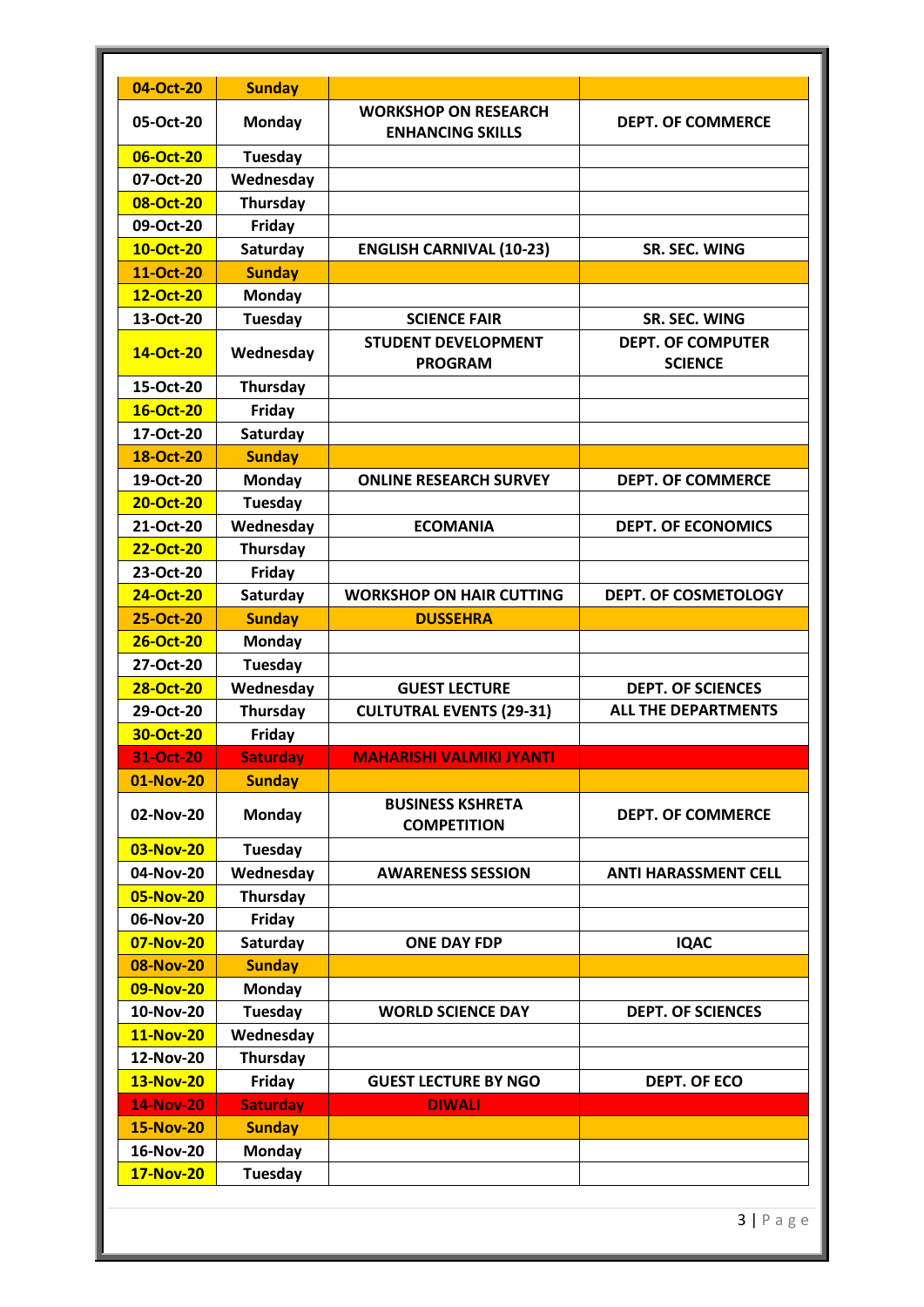| 04-Oct-20        | <b>Sunday</b>   |                                                        |                                            |
|------------------|-----------------|--------------------------------------------------------|--------------------------------------------|
| 05-Oct-20        | <b>Monday</b>   | <b>WORKSHOP ON RESEARCH</b><br><b>ENHANCING SKILLS</b> | <b>DEPT. OF COMMERCE</b>                   |
| 06-Oct-20        | <b>Tuesday</b>  |                                                        |                                            |
| 07-Oct-20        | Wednesday       |                                                        |                                            |
| 08-Oct-20        | Thursday        |                                                        |                                            |
| 09-Oct-20        | Friday          |                                                        |                                            |
| 10-Oct-20        | Saturday        | <b>ENGLISH CARNIVAL (10-23)</b>                        | <b>SR. SEC. WING</b>                       |
| 11-Oct-20        | <b>Sunday</b>   |                                                        |                                            |
| 12-Oct-20        | <b>Monday</b>   |                                                        |                                            |
| 13-Oct-20        | <b>Tuesday</b>  | <b>SCIENCE FAIR</b>                                    | SR. SEC. WING                              |
| 14-Oct-20        | Wednesday       | <b>STUDENT DEVELOPMENT</b><br><b>PROGRAM</b>           | <b>DEPT. OF COMPUTER</b><br><b>SCIENCE</b> |
| 15-Oct-20        | Thursday        |                                                        |                                            |
| 16-Oct-20        | Friday          |                                                        |                                            |
| 17-Oct-20        | Saturday        |                                                        |                                            |
| 18-Oct-20        | <b>Sunday</b>   |                                                        |                                            |
| 19-Oct-20        | <b>Monday</b>   | <b>ONLINE RESEARCH SURVEY</b>                          | <b>DEPT. OF COMMERCE</b>                   |
| 20-Oct-20        | Tuesday         |                                                        |                                            |
| 21-Oct-20        | Wednesday       | <b>ECOMANIA</b>                                        | <b>DEPT. OF ECONOMICS</b>                  |
| 22-Oct-20        | <b>Thursday</b> |                                                        |                                            |
| 23-Oct-20        | Friday          |                                                        |                                            |
| 24-Oct-20        | Saturday        | <b>WORKSHOP ON HAIR CUTTING</b>                        | <b>DEPT. OF COSMETOLOGY</b>                |
| 25-Oct-20        | <b>Sunday</b>   | <b>DUSSEHRA</b>                                        |                                            |
| 26-Oct-20        | Monday          |                                                        |                                            |
| 27-Oct-20        | Tuesday         |                                                        |                                            |
| 28-Oct-20        | Wednesday       | <b>GUEST LECTURE</b>                                   | <b>DEPT. OF SCIENCES</b>                   |
| 29-Oct-20        | Thursday        | <b>CULTUTRAL EVENTS (29-31)</b>                        | <b>ALL THE DEPARTMENTS</b>                 |
| 30-Oct-20        | Friday          |                                                        |                                            |
| 31-Oct-20        | <b>Saturday</b> | <b>MAHARISHI VALMIKI JYANTI</b>                        |                                            |
| 01-Nov-20        | <b>Sunday</b>   |                                                        |                                            |
| 02-Nov-20        | <b>Monday</b>   | <b>BUSINESS KSHRETA</b><br><b>COMPETITION</b>          | <b>DEPT. OF COMMERCE</b>                   |
| 03-Nov-20        | <b>Tuesday</b>  |                                                        |                                            |
|                  |                 |                                                        |                                            |
| 04-Nov-20        | Wednesday       | <b>AWARENESS SESSION</b>                               | <b>ANTI HARASSMENT CELL</b>                |
| 05-Nov-20        | Thursday        |                                                        |                                            |
| 06-Nov-20        | Friday          |                                                        |                                            |
| 07-Nov-20        | Saturday        | <b>ONE DAY FDP</b>                                     | <b>IQAC</b>                                |
| 08-Nov-20        | <b>Sunday</b>   |                                                        |                                            |
| 09-Nov-20        | <b>Monday</b>   |                                                        |                                            |
| 10-Nov-20        | <b>Tuesday</b>  | <b>WORLD SCIENCE DAY</b>                               | <b>DEPT. OF SCIENCES</b>                   |
| <b>11-Nov-20</b> | Wednesday       |                                                        |                                            |
| 12-Nov-20        | Thursday        |                                                        |                                            |
| <b>13-Nov-20</b> | Friday          | <b>GUEST LECTURE BY NGO</b>                            | <b>DEPT. OF ECO</b>                        |
| <b>14-Nov-20</b> | <b>Saturday</b> | <b>DIWALI</b>                                          |                                            |
| <b>15-Nov-20</b> | <b>Sunday</b>   |                                                        |                                            |
| 16-Nov-20        | <b>Monday</b>   |                                                        |                                            |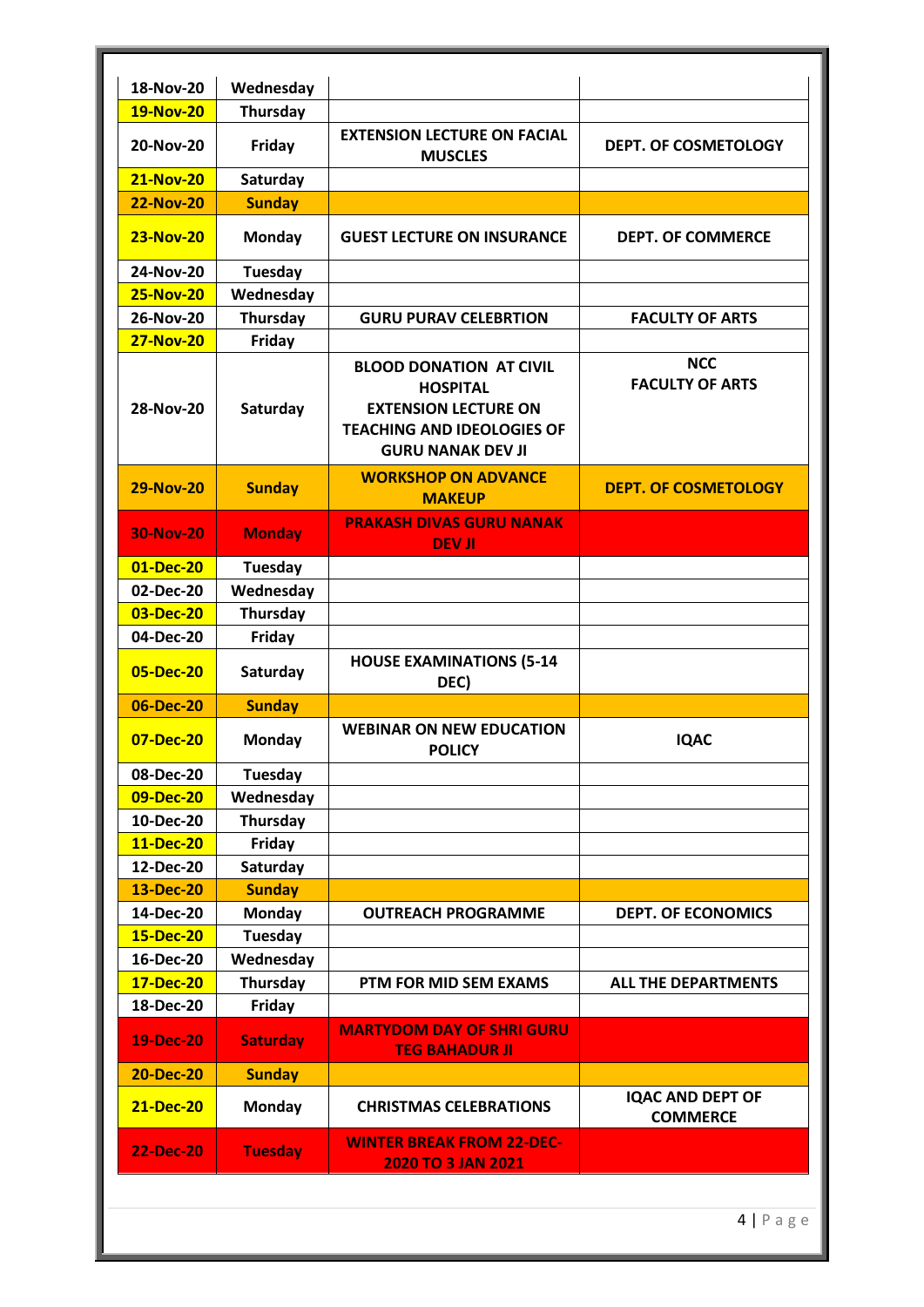| 18-Nov-20        | Wednesday       |                                                                                                                                                   |                                            |
|------------------|-----------------|---------------------------------------------------------------------------------------------------------------------------------------------------|--------------------------------------------|
| <b>19-Nov-20</b> | Thursday        |                                                                                                                                                   |                                            |
| 20-Nov-20        | Friday          | <b>EXTENSION LECTURE ON FACIAL</b><br><b>MUSCLES</b>                                                                                              | <b>DEPT. OF COSMETOLOGY</b>                |
| <b>21-Nov-20</b> | Saturday        |                                                                                                                                                   |                                            |
| <b>22-Nov-20</b> | <b>Sunday</b>   |                                                                                                                                                   |                                            |
| <b>23-Nov-20</b> | Monday          | <b>GUEST LECTURE ON INSURANCE</b>                                                                                                                 | <b>DEPT. OF COMMERCE</b>                   |
| 24-Nov-20        | Tuesday         |                                                                                                                                                   |                                            |
| <b>25-Nov-20</b> | Wednesday       |                                                                                                                                                   |                                            |
| 26-Nov-20        | Thursday        | <b>GURU PURAV CELEBRTION</b>                                                                                                                      | <b>FACULTY OF ARTS</b>                     |
| <b>27-Nov-20</b> | Friday          |                                                                                                                                                   |                                            |
| 28-Nov-20        | Saturday        | <b>BLOOD DONATION AT CIVIL</b><br><b>HOSPITAL</b><br><b>EXTENSION LECTURE ON</b><br><b>TEACHING AND IDEOLOGIES OF</b><br><b>GURU NANAK DEV JI</b> | <b>NCC</b><br><b>FACULTY OF ARTS</b>       |
| <b>29-Nov-20</b> | <b>Sunday</b>   | <b>WORKSHOP ON ADVANCE</b><br><b>MAKEUP</b>                                                                                                       | <b>DEPT. OF COSMETOLOGY</b>                |
| <b>30-Nov-20</b> | <b>Monday</b>   | <b>PRAKASH DIVAS GURU NANAK</b><br><b>DEV JI</b>                                                                                                  |                                            |
| 01-Dec-20        | <b>Tuesday</b>  |                                                                                                                                                   |                                            |
| 02-Dec-20        | Wednesday       |                                                                                                                                                   |                                            |
| 03-Dec-20        | <b>Thursday</b> |                                                                                                                                                   |                                            |
| 04-Dec-20        | Friday          |                                                                                                                                                   |                                            |
| 05-Dec-20        | Saturday        | <b>HOUSE EXAMINATIONS (5-14</b><br>DEC)                                                                                                           |                                            |
| 06-Dec-20        | <b>Sunday</b>   |                                                                                                                                                   |                                            |
| 07-Dec-20        | Monday          | <b>WEBINAR ON NEW EDUCATION</b><br><b>POLICY</b>                                                                                                  | <b>IQAC</b>                                |
| 08-Dec-20        | <b>Tuesday</b>  |                                                                                                                                                   |                                            |
| 09-Dec-20        | Wednesday       |                                                                                                                                                   |                                            |
| 10-Dec-20        | Thursday        |                                                                                                                                                   |                                            |
| 11-Dec-20        | Friday          |                                                                                                                                                   |                                            |
| 12-Dec-20        | Saturday        |                                                                                                                                                   |                                            |
| 13-Dec-20        | <b>Sunday</b>   |                                                                                                                                                   |                                            |
| 14-Dec-20        | <b>Monday</b>   | <b>OUTREACH PROGRAMME</b>                                                                                                                         | <b>DEPT. OF ECONOMICS</b>                  |
| 15-Dec-20        | <b>Tuesday</b>  |                                                                                                                                                   |                                            |
| 16-Dec-20        | Wednesday       |                                                                                                                                                   |                                            |
| 17-Dec-20        | Thursday        | PTM FOR MID SEM EXAMS                                                                                                                             | <b>ALL THE DEPARTMENTS</b>                 |
| 18-Dec-20        | Friday          |                                                                                                                                                   |                                            |
| 19-Dec-20        | <b>Saturday</b> | <b>MARTYDOM DAY OF SHRI GURU</b><br><b>TEG BAHADUR JI</b>                                                                                         |                                            |
| <b>20-Dec-20</b> | <b>Sunday</b>   |                                                                                                                                                   |                                            |
| 21-Dec-20        | <b>Monday</b>   | <b>CHRISTMAS CELEBRATIONS</b>                                                                                                                     | <b>IQAC AND DEPT OF</b><br><b>COMMERCE</b> |
| <b>22-Dec-20</b> | <b>Tuesday</b>  | <b>WINTER BREAK FROM 22-DEC-</b><br><b>2020 TO 3 JAN 2021</b>                                                                                     |                                            |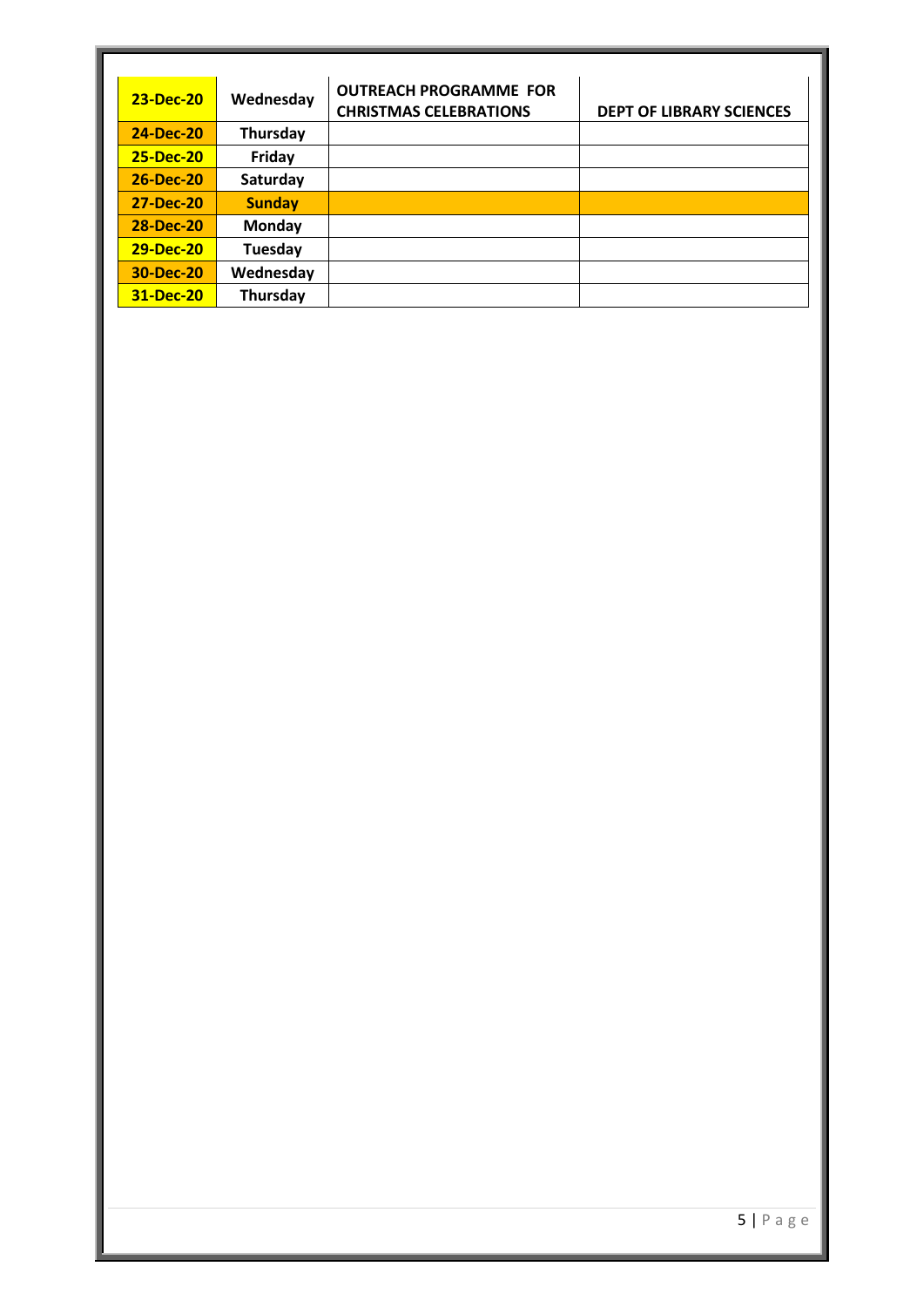| 23-Dec-20        | Wednesday     | <b>OUTREACH PROGRAMME FOR</b><br><b>CHRISTMAS CELEBRATIONS</b> | <b>DEPT OF LIBRARY SCIENCES</b> |
|------------------|---------------|----------------------------------------------------------------|---------------------------------|
| 24-Dec-20        | Thursday      |                                                                |                                 |
| <b>25-Dec-20</b> | Friday        |                                                                |                                 |
| <b>26-Dec-20</b> | Saturday      |                                                                |                                 |
| <b>27-Dec-20</b> | <b>Sunday</b> |                                                                |                                 |
| <b>28-Dec-20</b> | Monday        |                                                                |                                 |
| <b>29-Dec-20</b> | Tuesday       |                                                                |                                 |
| <b>30-Dec-20</b> | Wednesday     |                                                                |                                 |
| 31-Dec-20        | Thursday      |                                                                |                                 |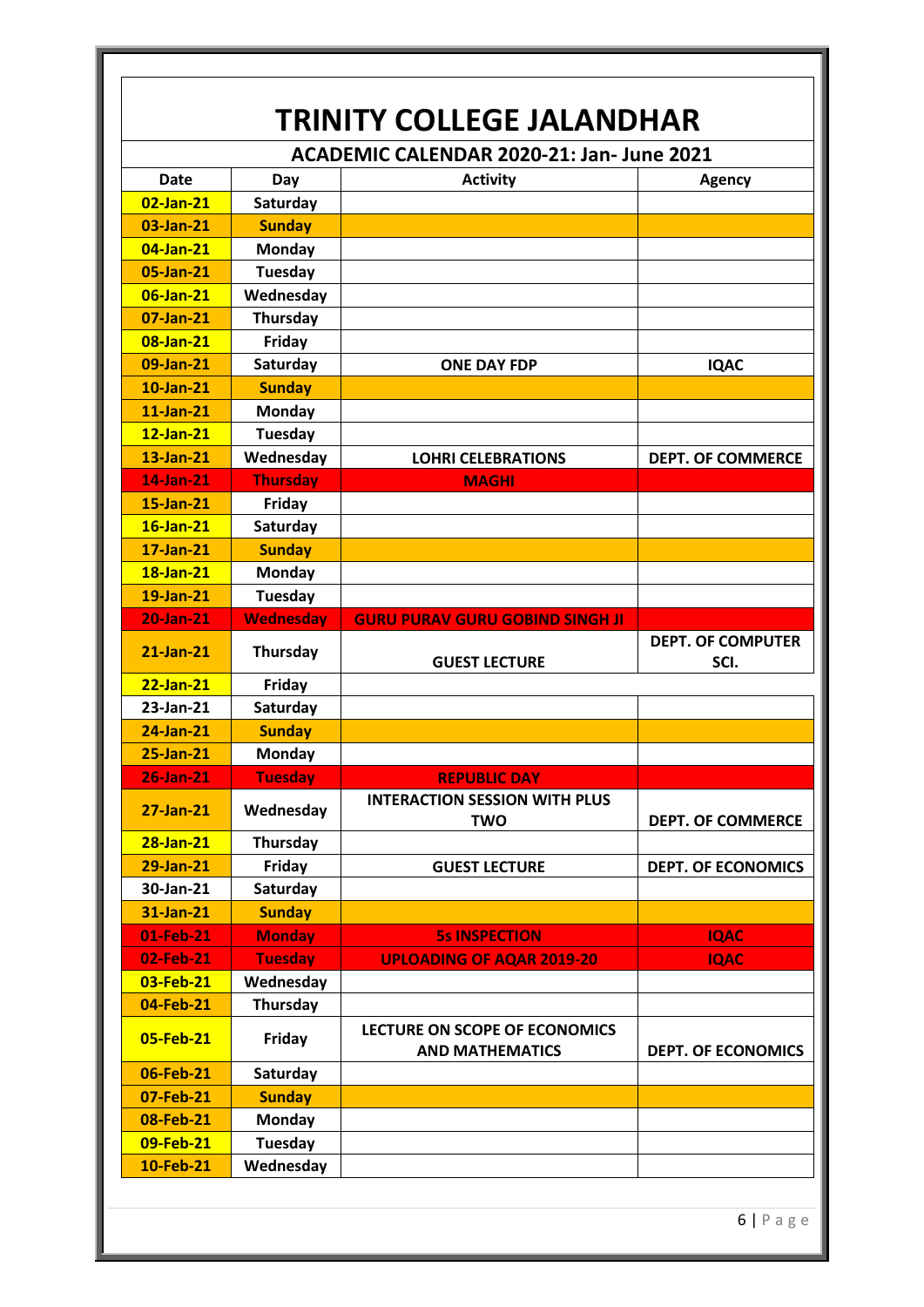| <b>TRINITY COLLEGE JALANDHAR</b>         |                             |                                                         |                                  |
|------------------------------------------|-----------------------------|---------------------------------------------------------|----------------------------------|
| ACADEMIC CALENDAR 2020-21: Jan-June 2021 |                             |                                                         |                                  |
| <b>Date</b>                              | Day                         | <b>Activity</b>                                         | <b>Agency</b>                    |
| 02-Jan-21                                | Saturday                    |                                                         |                                  |
| 03-Jan-21                                | <b>Sunday</b>               |                                                         |                                  |
| 04-Jan-21                                | <b>Monday</b>               |                                                         |                                  |
| 05-Jan-21                                | <b>Tuesday</b>              |                                                         |                                  |
| 06-Jan-21                                | Wednesday                   |                                                         |                                  |
| 07-Jan-21                                | Thursday                    |                                                         |                                  |
| 08-Jan-21                                | Friday                      |                                                         |                                  |
| 09-Jan-21                                | Saturday                    | <b>ONE DAY FDP</b>                                      | <b>IQAC</b>                      |
| 10-Jan-21                                | <b>Sunday</b>               |                                                         |                                  |
| $11$ -Jan- $21$                          | <b>Monday</b>               |                                                         |                                  |
| $12$ -Jan-21                             | <b>Tuesday</b>              |                                                         |                                  |
| 13-Jan-21                                | Wednesday                   | <b>LOHRI CELEBRATIONS</b>                               | <b>DEPT. OF COMMERCE</b>         |
| 14-Jan-21                                | <b>Thursday</b>             | <b>MAGHI</b>                                            |                                  |
| 15-Jan-21                                | Friday                      |                                                         |                                  |
| 16-Jan-21                                | Saturday                    |                                                         |                                  |
| 17-Jan-21                                | <b>Sunday</b>               |                                                         |                                  |
| 18-Jan-21                                | <b>Monday</b>               |                                                         |                                  |
| 19-Jan-21                                | <b>Tuesday</b>              |                                                         |                                  |
| <b>20-Jan-21</b>                         | <b>Wednesday</b>            | <b>GURU PURAV GURU GOBIND SINGH JI</b>                  |                                  |
| 21-Jan-21                                | Thursday                    | <b>GUEST LECTURE</b>                                    | <b>DEPT. OF COMPUTER</b><br>SCI. |
| $22$ -Jan-21                             | Friday                      |                                                         |                                  |
| 23-Jan-21                                | Saturday                    |                                                         |                                  |
| 24-Jan-21                                | <b>Sunday</b>               |                                                         |                                  |
| 25-Jan-21                                | Monday                      |                                                         |                                  |
| $26$ -Jan- $21$                          | <b>Tuesday</b>              | <b>KEPUBLIC DAY</b>                                     |                                  |
| 27-Jan-21                                | Wednesday                   | <b>INTERACTION SESSION WITH PLUS</b><br><b>TWO</b>      | <b>DEPT. OF COMMERCE</b>         |
| 28-Jan-21                                | Thursday                    |                                                         |                                  |
| 29-Jan-21                                | Friday                      | <b>GUEST LECTURE</b>                                    | <b>DEPT. OF ECONOMICS</b>        |
| 30-Jan-21                                | Saturday                    |                                                         |                                  |
| 31-Jan-21                                | <b>Sunday</b>               |                                                         |                                  |
| 01-Feb-21                                | <b>Monday</b>               | <b>5s INSPECTION</b>                                    | <b>IQAC</b>                      |
|                                          |                             |                                                         |                                  |
| 02-Feb-21                                | <b>Tuesday</b>              | <b>UPLOADING OF AQAR 2019-20</b>                        | <b>IQAC</b>                      |
| 03-Feb-21                                | Wednesday                   |                                                         |                                  |
| 04-Feb-21                                | Thursday                    |                                                         |                                  |
| 05-Feb-21                                | Friday                      | LECTURE ON SCOPE OF ECONOMICS<br><b>AND MATHEMATICS</b> | <b>DEPT. OF ECONOMICS</b>        |
| 06-Feb-21                                | Saturday                    |                                                         |                                  |
| 07-Feb-21                                | <b>Sunday</b>               |                                                         |                                  |
| 08-Feb-21                                | <b>Monday</b>               |                                                         |                                  |
| 09-Feb-21<br>10-Feb-21                   | <b>Tuesday</b><br>Wednesday |                                                         |                                  |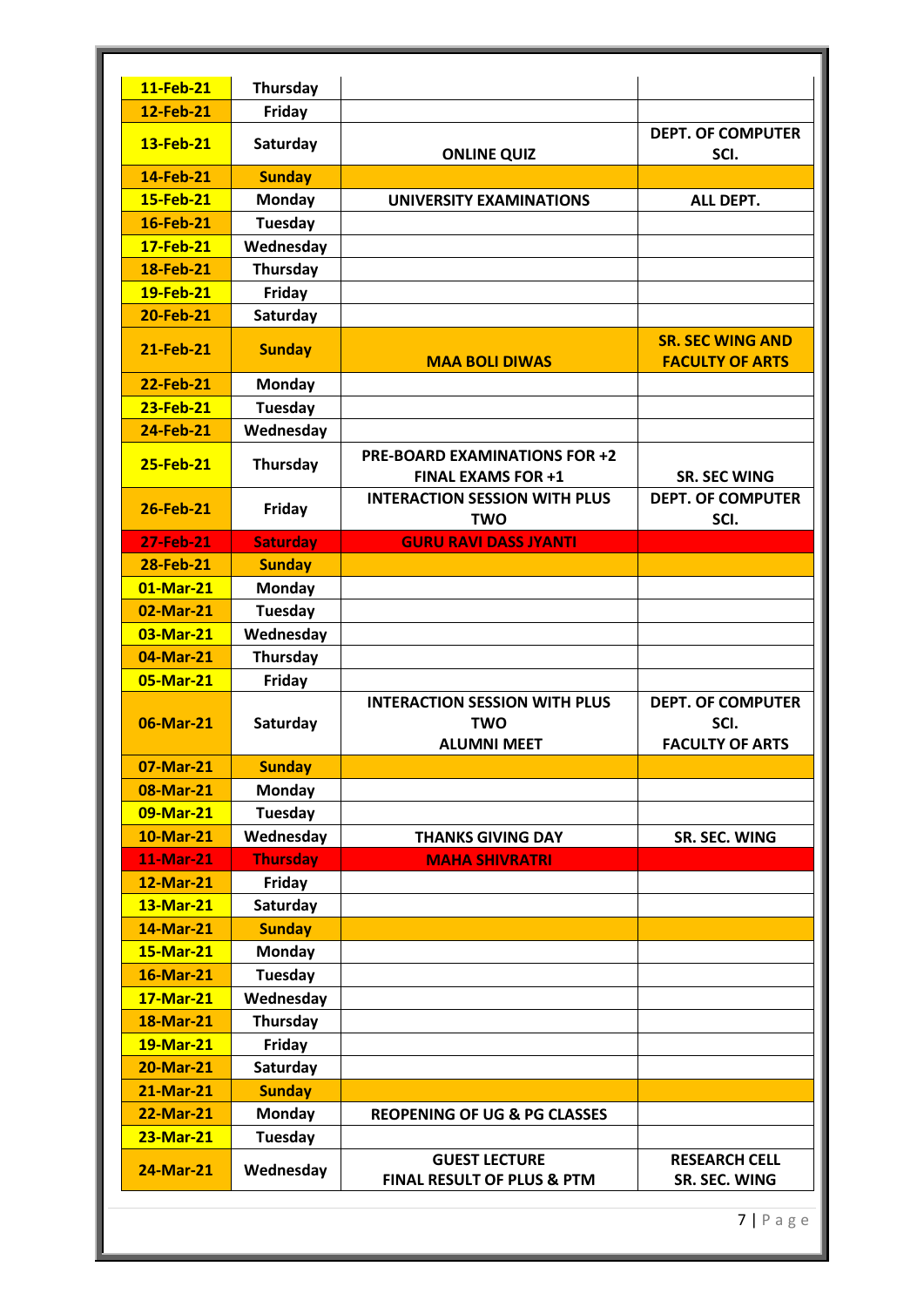| 11-Feb-21        | Thursday        |                                                                          |                                                            |
|------------------|-----------------|--------------------------------------------------------------------------|------------------------------------------------------------|
| 12-Feb-21        | Friday          |                                                                          |                                                            |
| 13-Feb-21        | Saturday        | <b>ONLINE QUIZ</b>                                                       | <b>DEPT. OF COMPUTER</b><br>SCI.                           |
| 14-Feb-21        | <b>Sunday</b>   |                                                                          |                                                            |
| 15-Feb-21        | <b>Monday</b>   | <b>UNIVERSITY EXAMINATIONS</b>                                           | ALL DEPT.                                                  |
| 16-Feb-21        | <b>Tuesday</b>  |                                                                          |                                                            |
| 17-Feb-21        | Wednesday       |                                                                          |                                                            |
| 18-Feb-21        | Thursday        |                                                                          |                                                            |
| 19-Feb-21        | Friday          |                                                                          |                                                            |
| <b>20-Feb-21</b> | Saturday        |                                                                          |                                                            |
| 21-Feb-21        | <b>Sunday</b>   | <b>MAA BOLI DIWAS</b>                                                    | <b>SR. SEC WING AND</b><br><b>FACULTY OF ARTS</b>          |
| 22-Feb-21        | <b>Monday</b>   |                                                                          |                                                            |
| 23-Feb-21        | <b>Tuesday</b>  |                                                                          |                                                            |
| <b>24-Feb-21</b> | Wednesday       |                                                                          |                                                            |
| 25-Feb-21        | Thursday        | <b>PRE-BOARD EXAMINATIONS FOR +2</b><br><b>FINAL EXAMS FOR +1</b>        | <b>SR. SEC WING</b>                                        |
| 26-Feb-21        | Friday          | <b>INTERACTION SESSION WITH PLUS</b><br><b>TWO</b>                       | <b>DEPT. OF COMPUTER</b><br>SCI.                           |
| <b>27-Feb-21</b> | <b>Saturday</b> | <b>GURU RAVI DASS JYANTI</b>                                             |                                                            |
| 28-Feb-21        | <b>Sunday</b>   |                                                                          |                                                            |
| 01-Mar-21        | <b>Monday</b>   |                                                                          |                                                            |
| 02-Mar-21        | <b>Tuesday</b>  |                                                                          |                                                            |
| 03-Mar-21        | Wednesday       |                                                                          |                                                            |
| 04-Mar-21        | <b>Thursday</b> |                                                                          |                                                            |
| 05-Mar-21        | Friday          |                                                                          |                                                            |
| 06-Mar-21        | Saturday        | <b>INTERACTION SESSION WITH PLUS</b><br><b>TWO</b><br><b>ALUMNI MEET</b> | <b>DEPT. OF COMPUTER</b><br>SCI.<br><b>FACULTY OF ARTS</b> |
| 07-Mar-21        | <b>Sunday</b>   |                                                                          |                                                            |
| 08-Mar-21        | <b>Monday</b>   |                                                                          |                                                            |
| 09-Mar-21        | <b>Tuesday</b>  |                                                                          |                                                            |
| 10-Mar-21        | Wednesday       | <b>THANKS GIVING DAY</b>                                                 | SR. SEC. WING                                              |
| <b>11-Mar-21</b> | <b>Thursday</b> | <b>MAHA SHIVRATRI</b>                                                    |                                                            |
| 12-Mar-21        | Friday          |                                                                          |                                                            |
| 13-Mar-21        | Saturday        |                                                                          |                                                            |
| 14-Mar-21        | <b>Sunday</b>   |                                                                          |                                                            |
| 15-Mar-21        | <b>Monday</b>   |                                                                          |                                                            |
| 16-Mar-21        | <b>Tuesday</b>  |                                                                          |                                                            |
| 17-Mar-21        | Wednesday       |                                                                          |                                                            |
| <b>18-Mar-21</b> | Thursday        |                                                                          |                                                            |
| 19-Mar-21        | Friday          |                                                                          |                                                            |
| 20-Mar-21        | Saturday        |                                                                          |                                                            |
| <b>21-Mar-21</b> | <b>Sunday</b>   |                                                                          |                                                            |
| <b>22-Mar-21</b> | <b>Monday</b>   | <b>REOPENING OF UG &amp; PG CLASSES</b>                                  |                                                            |
| 23-Mar-21        | <b>Tuesday</b>  |                                                                          |                                                            |
| 24-Mar-21        | Wednesday       | <b>GUEST LECTURE</b><br><b>FINAL RESULT OF PLUS &amp; PTM</b>            | <b>RESEARCH CELL</b><br>SR. SEC. WING                      |
|                  |                 |                                                                          | $7   P \text{ a } g \text{ e}$                             |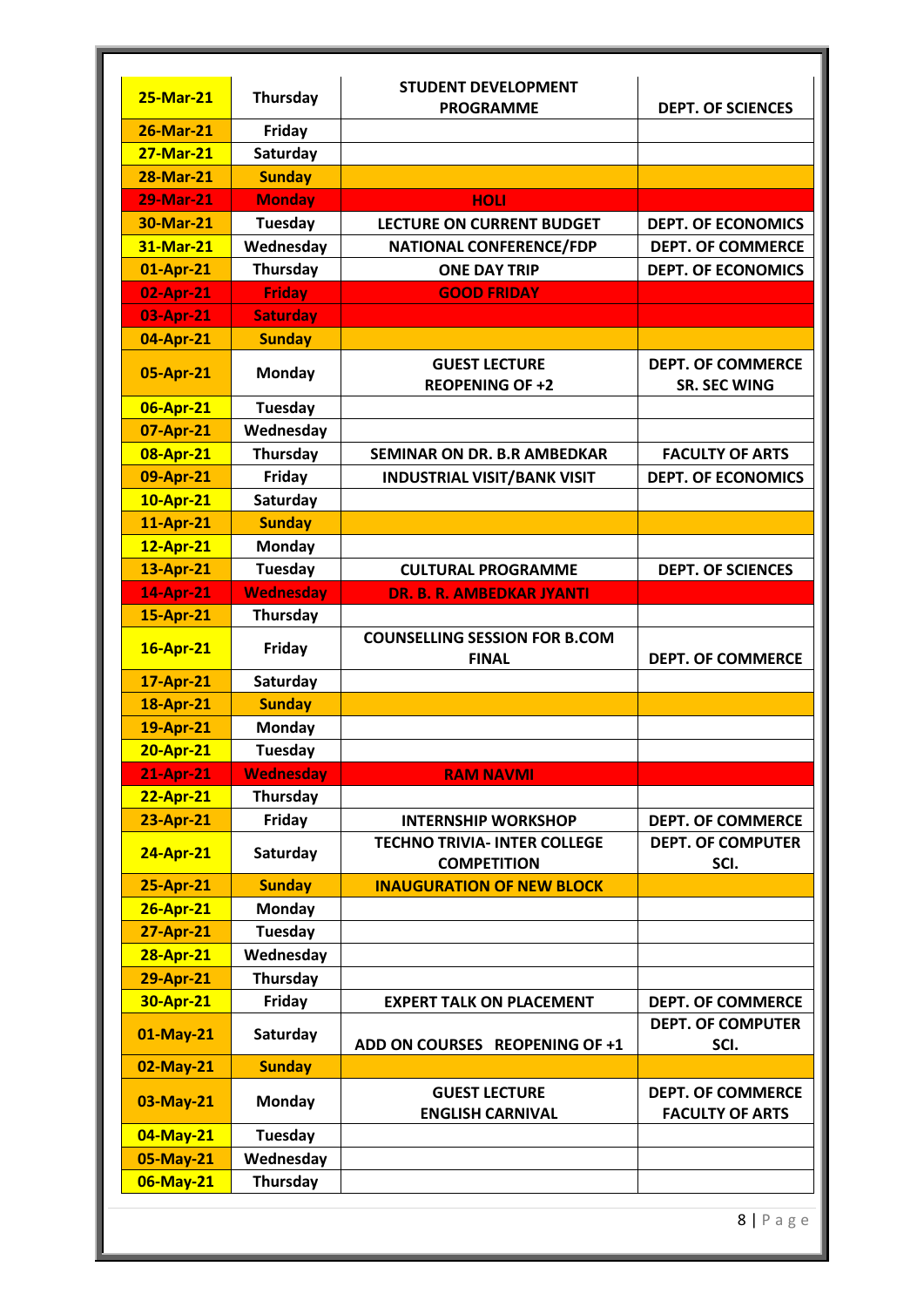| <b>DEPT. OF SCIENCES</b><br><b>PROGRAMME</b><br>26-Mar-21<br>Friday<br><b>27-Mar-21</b><br>Saturday<br><b>Sunday</b><br>28-Mar-21<br><b>29-Mar-21</b><br><b>Monday</b><br><b>HOLI</b><br><b>Tuesday</b><br>30-Mar-21<br><b>LECTURE ON CURRENT BUDGET</b><br><b>DEPT. OF ECONOMICS</b><br>Wednesday<br>31-Mar-21<br><b>DEPT. OF COMMERCE</b><br><b>NATIONAL CONFERENCE/FDP</b><br><b>Thursday</b><br>01-Apr-21<br><b>ONE DAY TRIP</b><br><b>DEPT. OF ECONOMICS</b><br>02-Apr-21<br><b>Friday</b><br><b>GOOD FRIDAY</b><br><b>Saturday</b><br>03-Apr-21<br><b>Sunday</b><br>04-Apr-21<br><b>GUEST LECTURE</b><br><b>DEPT. OF COMMERCE</b><br><b>Monday</b><br>05-Apr-21<br><b>REOPENING OF +2</b><br><b>SR. SEC WING</b><br><b>Tuesday</b><br>06-Apr-21<br>Wednesday<br>07-Apr-21<br>Thursday<br>08-Apr-21<br><b>SEMINAR ON DR. B.R AMBEDKAR</b><br><b>FACULTY OF ARTS</b> |  |
|--------------------------------------------------------------------------------------------------------------------------------------------------------------------------------------------------------------------------------------------------------------------------------------------------------------------------------------------------------------------------------------------------------------------------------------------------------------------------------------------------------------------------------------------------------------------------------------------------------------------------------------------------------------------------------------------------------------------------------------------------------------------------------------------------------------------------------------------------------------------------|--|
|                                                                                                                                                                                                                                                                                                                                                                                                                                                                                                                                                                                                                                                                                                                                                                                                                                                                          |  |
|                                                                                                                                                                                                                                                                                                                                                                                                                                                                                                                                                                                                                                                                                                                                                                                                                                                                          |  |
|                                                                                                                                                                                                                                                                                                                                                                                                                                                                                                                                                                                                                                                                                                                                                                                                                                                                          |  |
|                                                                                                                                                                                                                                                                                                                                                                                                                                                                                                                                                                                                                                                                                                                                                                                                                                                                          |  |
|                                                                                                                                                                                                                                                                                                                                                                                                                                                                                                                                                                                                                                                                                                                                                                                                                                                                          |  |
|                                                                                                                                                                                                                                                                                                                                                                                                                                                                                                                                                                                                                                                                                                                                                                                                                                                                          |  |
|                                                                                                                                                                                                                                                                                                                                                                                                                                                                                                                                                                                                                                                                                                                                                                                                                                                                          |  |
|                                                                                                                                                                                                                                                                                                                                                                                                                                                                                                                                                                                                                                                                                                                                                                                                                                                                          |  |
|                                                                                                                                                                                                                                                                                                                                                                                                                                                                                                                                                                                                                                                                                                                                                                                                                                                                          |  |
|                                                                                                                                                                                                                                                                                                                                                                                                                                                                                                                                                                                                                                                                                                                                                                                                                                                                          |  |
|                                                                                                                                                                                                                                                                                                                                                                                                                                                                                                                                                                                                                                                                                                                                                                                                                                                                          |  |
|                                                                                                                                                                                                                                                                                                                                                                                                                                                                                                                                                                                                                                                                                                                                                                                                                                                                          |  |
|                                                                                                                                                                                                                                                                                                                                                                                                                                                                                                                                                                                                                                                                                                                                                                                                                                                                          |  |
|                                                                                                                                                                                                                                                                                                                                                                                                                                                                                                                                                                                                                                                                                                                                                                                                                                                                          |  |
| 09-Apr-21<br>Friday<br><b>INDUSTRIAL VISIT/BANK VISIT</b><br><b>DEPT. OF ECONOMICS</b>                                                                                                                                                                                                                                                                                                                                                                                                                                                                                                                                                                                                                                                                                                                                                                                   |  |
| Saturday<br>10-Apr-21                                                                                                                                                                                                                                                                                                                                                                                                                                                                                                                                                                                                                                                                                                                                                                                                                                                    |  |
| 11-Apr-21<br><b>Sunday</b>                                                                                                                                                                                                                                                                                                                                                                                                                                                                                                                                                                                                                                                                                                                                                                                                                                               |  |
| 12-Apr-21<br><b>Monday</b>                                                                                                                                                                                                                                                                                                                                                                                                                                                                                                                                                                                                                                                                                                                                                                                                                                               |  |
| <b>Tuesday</b><br>13-Apr-21<br><b>CULTURAL PROGRAMME</b><br><b>DEPT. OF SCIENCES</b>                                                                                                                                                                                                                                                                                                                                                                                                                                                                                                                                                                                                                                                                                                                                                                                     |  |
| <b>Wednesday</b><br>14-Apr-21<br>DR. B. R. AMBEDKAR JYANTI                                                                                                                                                                                                                                                                                                                                                                                                                                                                                                                                                                                                                                                                                                                                                                                                               |  |
| <b>Thursday</b><br>15-Apr-21                                                                                                                                                                                                                                                                                                                                                                                                                                                                                                                                                                                                                                                                                                                                                                                                                                             |  |
| <b>COUNSELLING SESSION FOR B.COM</b><br>16-Apr-21<br><b>Friday</b><br><b>FINAL</b><br><b>DEPT. OF COMMERCE</b>                                                                                                                                                                                                                                                                                                                                                                                                                                                                                                                                                                                                                                                                                                                                                           |  |
| 17-Apr-21<br>Saturday                                                                                                                                                                                                                                                                                                                                                                                                                                                                                                                                                                                                                                                                                                                                                                                                                                                    |  |
| <b>Sunday</b><br>18-Apr-21                                                                                                                                                                                                                                                                                                                                                                                                                                                                                                                                                                                                                                                                                                                                                                                                                                               |  |
| <b>Monday</b><br>19-Apr-21                                                                                                                                                                                                                                                                                                                                                                                                                                                                                                                                                                                                                                                                                                                                                                                                                                               |  |
| <b>20-Apr-21</b><br><b>Tuesday</b>                                                                                                                                                                                                                                                                                                                                                                                                                                                                                                                                                                                                                                                                                                                                                                                                                                       |  |
| <b>21-Apr-21</b><br><b>Wednesday</b><br><b>RAM NAVMI</b>                                                                                                                                                                                                                                                                                                                                                                                                                                                                                                                                                                                                                                                                                                                                                                                                                 |  |
| 22-Apr-21<br>Thursday                                                                                                                                                                                                                                                                                                                                                                                                                                                                                                                                                                                                                                                                                                                                                                                                                                                    |  |
| 23-Apr-21<br>Friday<br><b>DEPT. OF COMMERCE</b><br><b>INTERNSHIP WORKSHOP</b>                                                                                                                                                                                                                                                                                                                                                                                                                                                                                                                                                                                                                                                                                                                                                                                            |  |
| <b>DEPT. OF COMPUTER</b><br><b>TECHNO TRIVIA- INTER COLLEGE</b><br>24-Apr-21<br>Saturday<br><b>COMPETITION</b><br>SCI.                                                                                                                                                                                                                                                                                                                                                                                                                                                                                                                                                                                                                                                                                                                                                   |  |
| 25-Apr-21<br><b>Sunday</b><br><b>INAUGURATION OF NEW BLOCK</b>                                                                                                                                                                                                                                                                                                                                                                                                                                                                                                                                                                                                                                                                                                                                                                                                           |  |
| 26-Apr-21<br><b>Monday</b>                                                                                                                                                                                                                                                                                                                                                                                                                                                                                                                                                                                                                                                                                                                                                                                                                                               |  |
| <b>Tuesday</b><br>27-Apr-21                                                                                                                                                                                                                                                                                                                                                                                                                                                                                                                                                                                                                                                                                                                                                                                                                                              |  |
| Wednesday<br>28-Apr-21                                                                                                                                                                                                                                                                                                                                                                                                                                                                                                                                                                                                                                                                                                                                                                                                                                                   |  |
| Thursday<br>29-Apr-21                                                                                                                                                                                                                                                                                                                                                                                                                                                                                                                                                                                                                                                                                                                                                                                                                                                    |  |
| 30-Apr-21<br>Friday<br><b>EXPERT TALK ON PLACEMENT</b><br><b>DEPT. OF COMMERCE</b>                                                                                                                                                                                                                                                                                                                                                                                                                                                                                                                                                                                                                                                                                                                                                                                       |  |
| <b>DEPT. OF COMPUTER</b><br>01-May-21<br>Saturday<br>ADD ON COURSES REOPENING OF +1<br>SCI.                                                                                                                                                                                                                                                                                                                                                                                                                                                                                                                                                                                                                                                                                                                                                                              |  |
| <b>Sunday</b><br>02-May-21                                                                                                                                                                                                                                                                                                                                                                                                                                                                                                                                                                                                                                                                                                                                                                                                                                               |  |
| <b>GUEST LECTURE</b><br><b>DEPT. OF COMMERCE</b><br><b>Monday</b><br>03-May-21<br><b>ENGLISH CARNIVAL</b><br><b>FACULTY OF ARTS</b>                                                                                                                                                                                                                                                                                                                                                                                                                                                                                                                                                                                                                                                                                                                                      |  |
| <b>Tuesday</b><br>04-May-21                                                                                                                                                                                                                                                                                                                                                                                                                                                                                                                                                                                                                                                                                                                                                                                                                                              |  |
| Wednesday<br>05-May-21                                                                                                                                                                                                                                                                                                                                                                                                                                                                                                                                                                                                                                                                                                                                                                                                                                                   |  |
|                                                                                                                                                                                                                                                                                                                                                                                                                                                                                                                                                                                                                                                                                                                                                                                                                                                                          |  |